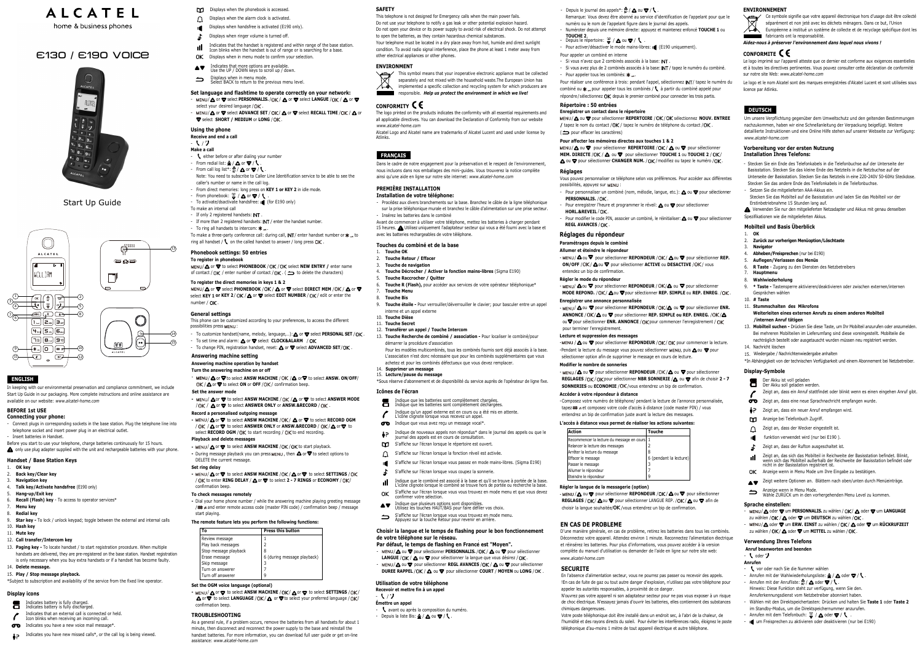### **ENGLISH**

In keeping with our environmental preservation and compliance commitment, we include Start Up Guide in our packaging. More complete instructions and online assistance are available on our website: *www.alcatel-home.com*

## **BEFORE 1st USE**

- **Connecting your phone:** - Connect plugs in corresponding sockets in the base station. Plug the telephone line into telephone socket and insert power plug in an electrical outlet.
- Insert batteries in Handset. Before you start to use your telephone, charge batteries continuously for 15 hours.

**A** only use plug adapter supplied with the unit and rechargeable batteries with your phone.

#### **Handset / Base Station Keys** 1. **OK key**

- Indicates battery is fully charged. Indicates battery is fully discharged.
- Indicates that an external call is connected or held.
- $\mathcal{L}_{\mathcal{L}}$ Icon blinks when receiving an incoming c
- $\sigma$  Indicates you have a new voice mail message\*.
- Indicates you have new missed calls\*, or the call log is being viewed.
- **DI** Displays when the phonebook is accessed.
- Displays when handsfree is activated (E190 only).  $\bigcap$  Displays when the alarm clock is activated.
- $\mathbf{r}$ Displays when ringer volume is turned off.
- dl. Indicates that the handset is registered and within range of the base station. Icon blinks when the handset is out of range or is searching for a base.
- OK Displays when in menu mode to confirm your selection.
- **AV** Indicates that more options are available. Use the UP / DOWN keys to scroll up / down.
- $\Rightarrow$
- Displays when in menu mode. Select BACK to return to the previous menu level.
- **Set language and flashtime to operate correctly on your network:**  $\sim$  MENU/ $\Delta$  or  $\nabla$  select **PERSONNALIS.** / OK /  $\Delta$  or  $\nabla$  select **LANGUE** / OK /  $\Delta$  or  $\nabla$ select your desired language  $/$ D $K$
- $MENU/∆$  or  $∇$  select **ADVANCE SET** / DK/ △ or ∇ select **RECALL TIME** /DK / △ or  $\blacktriangledown$  select **SHORT / MEDIUM** or **LONG** / DK.

13. **Paging key -** To locate handset / to start registration procedure. When multiple handsets are delivered, they are pre-registered on the base station. Handset registration is only necessary when you buy extra handsets or if a handset has become faulty.

15. **Play / Stop message playback.** \*Subject to subscription and availability of the service from the fixed line operator.

### **Display icons**

This phone can be customized according to your preferences, to access the different possibilities press MENU :

### **Using the phone**

- **Receive and end a call**
- し / ナ
- **Make a call**

 $\sqrt{13}$ 

 $-$ (14)  $(15)$ 

- teither before or after dialing your number
- From redial list:  $\triangle$  /  $\triangle$  or  $\blacktriangledown$  /  $\blacklozenge$ - From call log list\*:  $\frac{A}{P} / \Delta$  or  $\nabla / \Lambda$
- Note: You need to subscribe to Caller Line Identification service to be able to see the caller's number or name in the call log.
- From direct memories: long press on **KEY 1 or KEY 2** in idle mode.
- From phonebook:  $\frac{w}{\bullet}$  /  $\bigtriangleup$  or  $\nabla$  /  $\bigwedge$
- To make an internal call
- If only 2 registered handsets: INT
- If more than 2 registered handsets: INT / enter the handset number
- To ring all handsets to intercom:  $\mathbf{\dot{x}}$  ...

To make a three-party conference call: during call, INT/ enter handset number or  $\star_{\infty}$  to ring all handset /  $\ell$  on the called handset to answer / long press  $\Box K$ .

# **ALCATEL** home & business phones

# E130 / E190 Voice



Start Up Guide - To activate/dsactivate handsfree: (for E190 only)

### **Phonebook settings: 50 entries**

### **To register in phonebook**

I/**A** or  $\blacktriangledown$  to select PHONEBOOK / DK / DK select NEW ENTRY / enter name of contact /  $\Box K$  / enter number of contact /  $\Box K$  . ( $\implies$  to delete the characters)

### **To register the direct memories in keys 1 & 2**

 $MENU/\Delta$  or  $\nabla$  select **PHONEBOOK** / OK /  $\Delta$  or  $\nabla$  select **DIRECT MEM** / OK /  $\Delta$  or  $\nabla$ select KEY 1 or KEY 2/ OK /  $\triangle$  or  $\blacktriangledown$  select **EDIT NUMBER** / OK / edit or enter the number / **DK**.

#### **General settings**

#### **TROUBLESHOOTING**

As a general rule, if a problem occurs, remove the batteries from all handsets for about 1 minute, then disconnect and reconnect the power supply to the base and reinstall the handset batteries. For more information, you can download full user guide or get on-line assistance: *www.alcatel-home.com*

- **Anrufen**
- $\sqrt{\ }$  vor oder nach Sie die Nummer wählen
- Anrufen mit der Wahlwiederholungsliste:  $\triangle$  /  $\triangle$  oder  $\blacktriangledown$  /  $\blacklozenge$  .
- Anrufen mit der Anrufliste:  $\frac{\Delta}{12}$  /  $\Delta$  oder  $\nabla$  /  $\blacklozenge$ .
- Hinweis: Diese Funktion steht zur verfügung, wenn Sie den.
- Anruferkennungsdienst vom Netzbetreiber abonniert haben.
- Wählen mit den Direktspeichertasten: Drücken und halten Sie **Taste 1** oder **Taste 2** im Standby-Modus, um die Direktspeichernummer anzurufen.
- Anrufen mit dem Telefonbuch:  $\frac{w}{\sigma}$  /  $\Delta$  oder  $\nabla$  /  $\blacklozenge$ .
- um Freisprechen zu aktivieren oder deaktivieren (nur bei E190)

#### **SAFETY**

This telephone is not designed for Emergency calls when the main power fails. Do not use your telephone to notify a gas leak or other potential explosion hazard. Do not open your device or its power supply to avoid risk of electrical shock. Do not attempt to open the batteries, as they contain hazardous chemical substances. Your telephone must be located in a dry place away from hot, humide and direct sunlight condition. To avoid radio signal interference, place the phone at least 1 meter away from other electrical appliances or other phones.

#### **ENVIDONMENT**

- የ / ን **Émettre un appel**

- avant ou après la composition du numéro. - Depuis la liste Bis:  $\mathbb{\Delta}/\mathbb{\Delta}$  ou  $\blacktriangledown/\mathbb{C}$ .

onfirmer votre sélection



responsible. *Help us protect the environment in which we live!*

### **CONFORMITY**

The logo printed on the products indicates the conformity with all essential requirements and all applicable directives. You can download the Declaration of Conformity from our website *www.alcatel-home.com*

Alcatel Logo and Alcatel name are trademarks of Alcatel Lucent and used under license by Atlinks.

### **DEUTSCH**

Um unsere Verpflichtung gegenüber dem Umweltschutz und den geltenden Bestimmungen nachzukommen, haben wir eine Schnellanleitung der Verpackung beigefügt. Weitere detaillierte Instruktionen und eine Online Hilfe stehen auf unserer Webseite zur Verfügung: *www.alcatel-home.com*

#### **Vorbereitung vor der ersten Nutzung Installation Ihres Telefons:**

- Stecken Sie ein Ende des Telefonkabels in die Telefonbuchse auf der Unterseite der Basisstation. Stecken Sie das kleine Ende des Netzteils in die Netzbuchse auf der Unterseite der Basisstation. Stecken Sie das Netzteils in eine 220-240V 50-60Hz Steckdose.
- Stecken Sie das andere Ende des Telefonkabels in die Telefonbuchse. - Setzen Sie die mitgelieferten AAA-Akkus ein.
- Stecken Sie das Mobilteil auf die Basisstation und laden Sie das Mobilteil vor der Erstinbetriebnahme 15 Stunden lang auf.

Verwenden Sie nur den mitgelieferten Netzadapter und Akkus mit genau denselben Spezifikationen wie die mitgelieferten Akkus.

### **Mobilteil und Basis Überblick**

- To customize handset(name, melody, language,...):  $\triangle$  or  $\blacktriangledown$  select **PERSONAL SET** / DK.
- To set time and alarm:  $\triangle$  or  $\blacktriangledown$  select **CLOCK&ALARM** / DK
- To change PIN, registration handset, reset:  $\triangle$  or  $\blacktriangledown$  select **ADVANCED SET**/DK
- **Answering machine setting**

- 2. **Back key/Clear key**
- 3. **Navigation key**
- 4. **Talk key/Activate handsfree** (E190 only)
- 5. **Hang-up/Exit key**
- 6. **Recall (Flash) key**  To access to operator services\*
- 7. **Menu key**
- 8. **Redial key**
- 9. **Star key** To lock / unlock keypad; toggle between the external and internal calls 10. **Hash key**
- 11. **Mute key**
- 12. **Call transfer/Intercom key**

DK / **△** or ▼ to select **ON** or **OFF** / DK / confirmation beep. **Set the answer mode**

- **-** MENU/  $\Delta$  or  $\nabla$  to select ANSW MACHINE / OK /  $\Delta$  or  $\nabla$  to select ANSWER MODE  $/$  OK  $/$  **A** or  $\blacktriangledown$  to select **ANSWER ONLY** or **ANSW.&RECORD** / OK .
- **Record a personalised outgoing message**
- **-** MENU/ △ or ▼ to select ANSW MACHINE / OK / △ or ▼ to select **RECORD OGM** / DK / **△** or ▼ to select **ANSWER ONLY** or **ANSW.&RECORD** / DK/ △ or ▼ to select **RECORD OGM** / DK to start recording / DK to end recording.
- 1. **OK**
- 2. **Zurück zur vorherigen Menüoption/Löschtaste**
- 3. **Navigator**
- 4. **Abheben/Freisprechen** (nur bei E190) 5. **Auflegen/Verlassen des Menüs**
- 6. **R Taste** - Zugang zu den Diensten des Netzbetreibers
- 7. **Hauptmenu**
- 8. **Wahlwiederholung**
- 9. **\* Taste** Tastensperre aktivieren/deaktivieren oder zwischen externen/internen Gesprächen wählen
- 10. **# Taste**
- 11. **Stummschalten des Mikrofons**
- **Weiterleiten eines externen Anrufs zu einem anderen Mobilteil /internen Anruf tätigen**
- 13. **Mobilteil suchen** Drücken Sie diese Taste, um Ihr Mobilteil anzurufen oder anzumelden. Bei mehreren Mobilteilen im Lieferumfang sind diese voreingestellt. Mobilteile die nachträglich bestellt oder ausgetauscht wurden müssen neu registriert werden.
- 14. Nachricht löschen
- 15. Wiedergabe / Nachrichtenwiedergabe anhalten
- \*In Abhängigkeit von der technischen Verfügbarkeit und einem Abonnement bei Netzbetreiber.

**-** MENU/ ∆ or ♥ to select ANSW MACHINE / OK / △ or ♥ to select SETTINGS / OK / A or **V** to select LANGUAGE / DK / A or **V** to select your preferred language / DK/ confirmation beep.

### 14. **Delete message.**

- MENU/ $\Delta$  or  $\nabla$  to select **ANSW MACHINE** /DK / $\Delta$  or  $\nabla$  to select <code>SETTINGS</code> / / DK to enter **RING DELAY** / **△** or ▼ to select **2 - 7 RINGS** or **ECONOMY** / DK/ confirmation beep.

- 
- MENU/  $\triangle$  or  $\blacktriangledown$  to select **ANSW MACHINE** /OK /OK to start playback. - During message playback you can press MENU , then △ or ▼ to select options to DELETE the current message.

### **Display-Symbole**

- Der Akku ist voll geladen Der Akku soll geladen werden.
- Zeigt an, dass ein Anruf stattfindet oder blinkt wenn es einen eingehen Anruf gibt.
- Zeigt an, dass eine neue Sprachnachricht empfangen wurde.
- 2 Zeigt an, dass ein neuer Anruf empfangen wird.
- Anzeige bei Telefonbuch Zugriff.
- Zeigt an, dass der Wecker eingestellt ist.
- **I** funktion verwendet wird (nur bei E190 ).
- Zeigt an, dass der Rufton ausgeschaltet ist.  $\mathbf{L}$
- Zeigt an, das sich das Mobilteil in Reichweite der Basisstation befindet. Blinkt, wenn sich das Mobilteil außerhalb der Reichweite der Basisstation befindet oder nicht in der Basisstation registriert ist.
- OK Anzeige wenn in Menu Mode um Ihre Eingabe zu bestätigen.
- ▲ Zeigt weitere Optionen an. Blättern nach oben/unten durch Menüeinträge.
- Anzeige wenn in Menu Mode. Wähle ZURÜCK um in den vorhergehenden Menu Level zu kommen.

#### **Sprache einstellen:**

- MENU/ $\triangle$  oder  $\nabla$  um **PERSONNALIS.** zu wählen / OK/ $\triangle$  oder  $\nabla$  um **LANGUAGE** zu wählen / OK / A oder **v** um **DEUTSCH** zu wählen / OK .
- MENU/**A** oder ▼ um **ERW. EINST** zu wählen / OK / A oder ▼ um RÜCKRUFZEIT zu wählen / OK /  $\triangle$  oder  $\nabla$  um **MITTEL** zu wählen / OK.

#### **Verwendung Ihres Telefons**

### **Anruf beanworten and beenden**

### -  $\cdot$  oder  $\cdot$

**Utilisation de votre téléphone Recevoir et mettre fin à un appel**

#### Remarque: Vous devez être abonné au service d'identification de l'appelant pour que le

- Depuis le journal des appels\*:  $\frac{4}{12}$  /  $\triangle$  ou  $\blacktriangledown$  /  $\blacklozenge$ .

Depuis le répertoire:  $\frac{\omega}{\sigma}$  /  $\Delta$  ou  $\nabla$  /  $\iota$ 

- Si vous n'avez que 2 combinés associés à la base: INT.

numéro ou le nom de l'appelant figure dans le journal des appels.

- Pour activer/désactiver le mode mains-libres: (E190 uniquement).

- Numéroter depuis une mémoire directe: appuyez et maintenez enfoncé **TOUCHE 1** ou

- Si vous avez plus de 2 combinés associés à la base: **INT** / tapez le numéro du combiné.

Indique que les batteries sont complètement chargées. Indique que les batteries sont complètement déchargées Indique qu'un appel externe est en cours ou a été mis en attente. Pour réaliser une conférence à trois: pendant l'appel, sélectionnez INT / tapez le numéro du combiné ou  $\mathbf{*}$  pour appeler tous les combinés /  $\setminus$  à partir du combiné appelé pour répondre / sélectionnez  $\Box K$  depuis le premier combiné pour connecter les trois partis.

L'icône clignote lorsque vous recevez un appel.  $\sigma$  Indique que vous avez reçu un message vocal\*.

J / ▲ ou ▼ pour sélectionner **REPERTOIRE** / UK / UK sélectionnez **NOUV. ENTREE /** tapez le nom du contact /**OK** / tapez le numero de telephone du contact /**OK** .

MENU / A ou **▽** pour sélectionner **REPERTOIRE** / OK / A ou ▽ pour sélectionner **MEM. DIRECTE** / OK / △ ou ▼ pour sélectionner **TOUCHE 1** ou TOUCHE 2 / OK / ou ▼ pour sélectionner **CHANGER NUM.** / OK / modifiez ou tapez le numéro / OK.

Pour appeler un combiné en interne

**Répertoire : 50 entrées Enregistrer un contact dans le répertoire**

**Pour affecter les mémoires directes aux touches 1 & 2**

**Réglages**

Vous pouvez personnaliser ce téléphone selon vos préférences. Pour accéder aux différentes

- Pour personnaliser un combiné (nom, mélodie, langue, etc.):  $\triangle$  ou  $\blacktriangledown$  pour sélectionner

Pour enregistrer l'heure et programmer le réveil:  $\triangle$  ou  $\blacktriangledown$  pour sélectionner

Pour modifier le code PIN, associer un combiné, le réinitialiser:  $\triangle$  ou  $\blacktriangledown$  pour sélectionner

### - MENU / △ ou ▼ nour sélectionner **REPONDEUR** / OK / △ ou ▼ nour sélectionner **REP. ON/OFF** / OK /  $\triangle$  ou  $\blacktriangledown$  nour sélectionner **ACTIVE** ou **DESACTIVE** / OK / vous

- MENU/ **△**OU ▼ pour sélectionner **REPONDEUR** / UK/△ ou ▼ pour sélectionner **MODE REPOND.** / DK/ △ ou ▼ pour sélectionner **REP. SIMPLE** ou REP. ENREG. / DK.

- MENU/ **△** ou ▼ pour sélectionner **REPONDEUR** / UK/△ ou ▼ pour sélectionner **ENR. ANNONCE / OK/△ ou ▼ pour sélectionner REP. SIMPLE ou REP. ENREG. / OK/△** ou **V** pour sélectionner **ENR. ANNONCE** / **OK** pour commencer l'enregistrement / **DK** 

-MENU / △ ou ▼ pour sélectionner REPONDEUR / DK / DK pour commencer la lecture. -Pendant la lecture du message vous pouvez sélectionner MENU, puis  $\triangle$  ou  $\nabla$  pour

- MENU / △ ou ▼ pour sélectionner **REPONDEUR** / OK / △ ou ▼ pour sélectionner **REGLAGES** /  $\cap$  **K** /  $\cap$  **K** pour sélectionner **NBR SONNERIE** /  $\triangle$  ou  $\blacktriangledown$  afin de choisir 2 - 7 **SONNERIES** ou **ECONOMIE** / OK / yous entendrez un bip de confirmation.

**EN CAS DE PROBLEME**

D'une manière générale, en cas de problème, retirez les batteries dans tous les combinés. Déconnectez votre appareil. Attendez environ 1 minute. Reconnectez l'alimentation électrique et réinsérez les batteries. Pour plus d'informations, vous pouvez accéder à la version complète du manuel d'utilisation ou demander de l'aide en ligne sur notre site web:

*www.alcatel-home.com* **SECURITE**

En l'absence d'alimentation secteur, vous ne pourrez pas passer ou recevoir des appels. !En cas de fuite de gaz ou tout autre danger d'explosion, n'utilisez pas votre téléphone pour

appeler les autorités responsables, à proximité de ce danger.

pour effacer les caractères) (

possibilités, appuyez sur MENU :

PERSONNALIS. / DK.

**HORL.&REVEIL** / DK.

**REGL AVANCES / OK.** 

N'ouvrez pas votre appareil ni son adaptateur secteur pour ne pas vous exposer à un risque de choc électrique. N'essayez jamais d'ouvrir les batteries, elles contiennent des substances

chimiques dangereuses.

Votre poste téléphonique doit être installé dans un endroit sec, à l'abri de la chaleur, de l'humidité et des rayons directs du soleil. Pour éviter les interférences radio, éloignez le poste téléphonique d'au-moins 1 mètre de tout appareil électrique et autre téléphone.

### **ENVIRONNEMENT**

Ce symbole signifie que votre appareil électronique hors d'usage doit être collecté séparément et non jeté avec les déchets ménagers. Dans ce but, l'Union Européenne a institué un système de collecte et de recyclage spécifique dont les



*Aidez-nous à préserver l'environnement dans lequel nous vivons !*

### **CONFORMITE**

Le logo imprimé sur l'appareil atteste que ce dernier est conforme aux exigences essentielles et à toutes les directives pertinentes. Vous pouvez consulter cette déclaration de conformité sur notre site Web: *www.alcatel-home.com*

Le logo et le nom Alcatel sont des marques enregistrées d'Alcatel Lucent et sont utilisées sous licence par Atlinks.



### **Answering machine operation by handset**

**Turn the answering machine on or off**

# - MENU / △ or ▽ to select ANSW MACHINE / OK / △ or ▽ to select ANSW. ON/OFF/

Dial your home phone number / while the answering machine playing greeting message **-**  $/$   $\#$  a and enter remote access code (master PIN code) / confirmation beep / message start playing.

#### **Playback and delete messages**

#### **Set ring delay**

#### **To check messages remotely**

#### **The remote feature lets you perform the following functions:**

| Гი                    | <b>Press this button</b>    |  |
|-----------------------|-----------------------------|--|
| Review message        |                             |  |
| Play back messages    |                             |  |
| Stop message playback | 8                           |  |
| Erase message         | 6 (during message playback) |  |
| Skip message          |                             |  |
| Turn on answerer      |                             |  |
| Turn off answerer     |                             |  |

#### **Set the OGM voice language (optional)**

**Réglages du répondeur Paramétrages depuis le combiné Allumer et éteindre le répondeur**

**Régler le mode du répondeur**

**Enregistrer une annonce personnalisée**

**Lecture et suppression des messages**

sélectionner option afin de supprimer le message en cours de lecture.

**Modifier le nombre de sonneries**

**Accéder à votre répondeur à distance**

**L'accès à distance vous permet de réaliser les actions suivantes:**

**Régler la langue de la messagerie (option)**

.<br>Recommencer la lecture du message en cou Relancer la lecture des messages Arrêter la lecture du message Effacer le message Passer le message Allumer le répondeur teindre le répondeur

- Composez votre numéro de téléphone/ pendant la lecture de l'annonce personnalisée, tapez et composez votre code d'accès à distance (code master PIN) / vous

**REGLAGES** /  $\cap$ **K** /  $\triangle$  ou  $\triangledown$  nour sélectionner LANGUE REP. / $\cap$ **K** /  $\triangle$  ou  $\triangledown$  afin de

pour terminer l'enregistrement.

entendrez un bip de confirmation juste avant la lecture des messages.

- MENU / △ ou ▼ pour sélectionner **REPONDEUR** / OK / △ ou ▼ pour sélectionner

choisir la langue souhaitée/ OK / vous entendrez un bip de confirmation

entendez un bip de confirmation.

: **Par défaut, le temps de flashing en France est "Moyen".**

 $MENU/\mathbf{A}$  ou  $\nabla$  pour sélectionner **PERSONNALIS.** / OK /  $\mathbf{A}$  ou  $\nabla$  pour sélectionner LANGUE / OK /  $\triangle$  ou  $\nabla$  pour sélectionner la langue que vous désirez / OK . MENU/△ ou ▼ pour sélectionner **REGL AVANCES** / OK / △ ou ▼ pour sélectionner **DUREE RAPPEL / OK / △ ou ▼ pour sélectionner <b>COURT** / **MOYEN** ou LONG / OK. **Action**

6 (pendant la lecture)

3 7 9

### **FRANÇAIS**

Dans le cadre de notre engagement pour la préservation et le respect de l'environnement, nous incluons dans nos emballages des mini-guides. Vous trouverez la notice complète ainsi qu'une aide en ligne sur notre site internet: *www.alcatel-home.com*

### **PREMIÈRE INSTALLATION**

#### **Installation de votre téléphone:**

- Procédez aux divers branchements sur la base. Branchez le câble de la ligne téléphonique sur la prise téléphonique murale et branchez le câble d'alimentation sur une prise secteur. - Insérez les batteries dans le combiné

avec les batteries rechargeables de votre téléphone. **Touches du combiné et de la base**

1. **Touche OK**

2. **Touche Retour / Effacer** 3. **Touche de navigation**

4. **Touche Décrocher / Activer la fonction mains-libres** (Sigma E190)

5. **Touche Raccrocher / Quitter**

12. **Transférer un appel / Touche Intercom**

6. **Touche R (Flash),**  pour accéder aux services de votre opérateur téléphonique\*

7. **Touche Menu**  8. **Touche Bis**

9. **Touche étoile -** Pour verrouiller/déverrouiller le clavier; pour basculer entre un appel

interne et un appel externe

10. **Touche Dièse** 11. **Touche Secret** 

13. **Touche Recherche de combiné / association -** Pour localiser le combiné/pour

démarrer la procédure d'association

 Pour les modèles multicombinés, tous les combinés fournis sont déjà associés à la base. L'association n'est donc nécessaire que pour les combinés supplémentaires que vous

achetez et pour les combinés défectueux que vous devez remplacer.

\*Sous réserve d'abonnement et de disponibilité du service auprès de l'opérateur de ligne fixe.

**Icônes de l'écran**

言  $\mathcal{L}_{\mathcal{L}}$ 

iP.

 $\Delta$  $\blacksquare$  $\overline{1}$ al. **nk** 

Avant de commencer à utiliser votre téléphone, mettez les batteries à charger pendant Utilisez uniquement l'adaptateur secteur qui vous a été fourni avec la base et 15 heures.

Indique de nouveaux appels non répondus\* dans le journal des appels ou que le

journal des appels est en cours de consultation. S'affiche sur l'écran lorsque le répertoire est ouvert. S'affiche sur l'écran lorsque la fonction réveil est activée.

S'affiche sur l'écran lorsque vous passez en mode mains-libres. (Sigma E190)

14. **Supprimer un message** 15. **Lecture/pause du message**

S'affiche sur l'écran lorsque vous coupez la sonnerie.

Indique que le combiné est associé à la base et qu'il se trouve à portée de la base. L'icône clignote lorsque le combiné se trouve hors de portée ou recherche la base. S'affiche sur l'écran lorsque vous vous trouvez en mode menu et que vous devez

Indique que plusieurs options sont disponibles. Utilisez les touches HAUT/BAS pour faire défiler vos choix. S'affiche sur l'écran lorsque vous vous trouvez en mode menu. Appuyez sur la touche Retour pour revenir en arrière. **Choisir la langue et le temps de flashing pour le bon fonctionnement** 

**de votre téléphone sur le réseau.** 

**TOUCHE 2**.

- Pour appeler tous les combinés:  $\star$ .